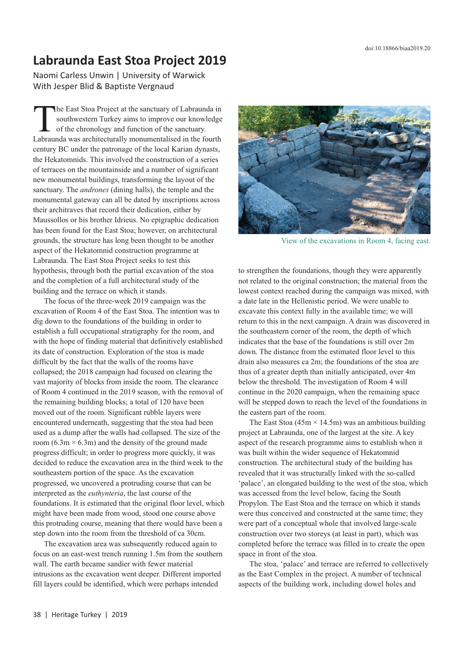## **Labraunda East Stoa Project 2019**

Naomi Carless Unwin | University of Warwick With Jesper Blid & Baptiste Vergnaud

The East Stoa Project at the sanctuary of Labraunda in<br>southwestern Turkey aims to improve our knowledge<br>of the chronology and function of the sanctuary.<br>Labraunda was architecturally monumentalised in the fourth southwestern Turkey aims to improve our knowledge of the chronology and function of the sanctuary. Labraunda was architecturally monumentalised in the fourth century BC under the patronage of the local Karian dynasts, the Hekatomnids. This involved the construction of a series of terraces on the mountainside and a number of significant new monumental buildings, transforming the layout of the sanctuary. The *andrones* (dining halls), the temple and the monumental gateway can all be dated by inscriptions across their architraves that record their dedication, either by Maussollos or his brother Idrieus. No epigraphic dedication has been found for the East Stoa; however, on architectural grounds, the structure has long been thought to be another aspect of the Hekatomnid construction programme at Labraunda. The East Stoa Project seeks to test this hypothesis, through both the partial excavation of the stoa and the completion of a full architectural study of the building and the terrace on which it stands.

The focus of the three-week 2019 campaign was the excavation of Room 4 of the East Stoa. The intention was to dig down to the foundations of the building in order to establish a full occupational stratigraphy for the room, and with the hope of finding material that definitively established its date of construction. Exploration of the stoa is made difficult by the fact that the walls of the rooms have collapsed; the 2018 campaign had focused on clearing the vast majority of blocks from inside the room. The clearance of Room 4 continued in the 2019 season, with the removal of the remaining building blocks; a total of 120 have been moved out of the room. Significant rubble layers were encountered underneath, suggesting that the stoa had been used as a dump after the walls had collapsed. The size of the room  $(6.3m \times 6.3m)$  and the density of the ground made progress difficult; in order to progress more quickly, it was decided to reduce the excavation area in the third week to the southeastern portion of the space. As the excavation progressed, we uncovered a protruding course that can be interpreted as the *euthynteria*, the last course of the foundations. It is estimated that the original floor level, which might have been made from wood, stood one course above this protruding course, meaning that there would have been a step down into the room from the threshold of ca 30cm.

The excavation area was subsequently reduced again to focus on an east-west trench running 1.5m from the southern wall. The earth became sandier with fewer material intrusions as the excavation went deeper. Different imported fill layers could be identified, which were perhaps intended



View of the excavations in Room 4, facing east.

to strengthen the foundations, though they were apparently not related to the original construction; the material from the lowest context reached during the campaign was mixed, with a date late in the Hellenistic period. We were unable to excavate this context fully in the available time; we will return to this in the next campaign. A drain was discovered in the southeastern corner of the room, the depth of which indicates that the base of the foundations is still over 2m down. The distance from the estimated floor level to this drain also measures ca 2m; the foundations of the stoa are thus of a greater depth than initially anticipated, over 4m below the threshold. The investigation of Room 4 will continue in the 2020 campaign, when the remaining space will be stepped down to reach the level of the foundations in the eastern part of the room.

The East Stoa (45m  $\times$  14.5m) was an ambitious building project at Labraunda, one of the largest at the site. A key aspect of the research programme aims to establish when it was built within the wider sequence of Hekatomnid construction. The architectural study of the building has revealed that it was structurally linked with the so-called 'palace', an elongated building to the west of the stoa, which was accessed from the level below, facing the South Propylon. The East Stoa and the terrace on which it stands were thus conceived and constructed at the same time; they were part of a conceptual whole that involved large-scale construction over two storeys (at least in part), which was completed before the terrace was filled in to create the open space in front of the stoa.

The stoa, 'palace' and terrace are referred to collectively as the East Complex in the project. A number of technical aspects of the building work, including dowel holes and